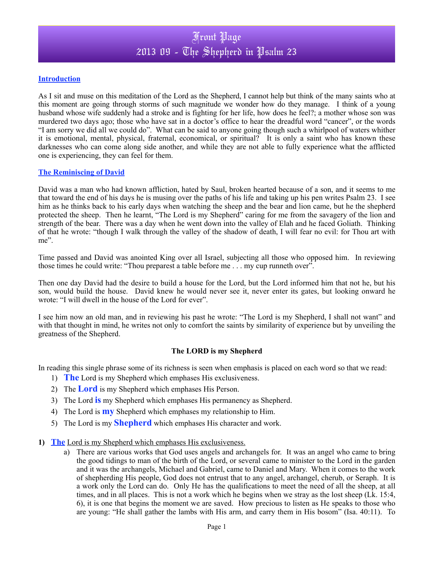## Front Page 2013 09 - The Shepherd in Psalm 23

#### **Introduction**

As I sit and muse on this meditation of the Lord as the Shepherd, I cannot help but think of the many saints who at this moment are going through storms of such magnitude we wonder how do they manage. I think of a young husband whose wife suddenly had a stroke and is fighting for her life, how does he feel?; a mother whose son was murdered two days ago; those who have sat in a doctor's office to hear the dreadful word "cancer", or the words "I am sorry we did all we could do". What can be said to anyone going though such a whirlpool of waters whither it is emotional, mental, physical, fraternal, economical, or spiritual? It is only a saint who has known these darknesses who can come along side another, and while they are not able to fully experience what the afflicted one is experiencing, they can feel for them.

#### **The Reminiscing of David**

David was a man who had known affliction, hated by Saul, broken hearted because of a son, and it seems to me that toward the end of his days he is musing over the paths of his life and taking up his pen writes Psalm 23. I see him as he thinks back to his early days when watching the sheep and the bear and lion came, but he the shepherd protected the sheep. Then he learnt, "The Lord is my Shepherd" caring for me from the savagery of the lion and strength of the bear. There was a day when he went down into the valley of Elah and he faced Goliath. Thinking of that he wrote: "though I walk through the valley of the shadow of death, I will fear no evil: for Thou art with me".

Time passed and David was anointed King over all Israel, subjecting all those who opposed him. In reviewing those times he could write: "Thou preparest a table before me . . . my cup runneth over".

Then one day David had the desire to build a house for the Lord, but the Lord informed him that not he, but his son, would build the house. David knew he would never see it, never enter its gates, but looking onward he wrote: "I will dwell in the house of the Lord for ever".

I see him now an old man, and in reviewing his past he wrote: "The Lord is my Shepherd, I shall not want" and with that thought in mind, he writes not only to comfort the saints by similarity of experience but by unveiling the greatness of the Shepherd.

### **The LORD is my Shepherd**

In reading this single phrase some of its richness is seen when emphasis is placed on each word so that we read:

- 1) **The** Lord is my Shepherd which emphases His exclusiveness.
- 2) The **Lord** is my Shepherd which emphases His Person.
- 3) The Lord **is** my Shepherd which emphases His permanency as Shepherd.
- 4) The Lord is **my** Shepherd which emphases my relationship to Him.
- 5) The Lord is my **Shepherd** which emphases His character and work.
- **1) The** Lord is my Shepherd which emphases His exclusiveness.
	- a) There are various works that God uses angels and archangels for. It was an angel who came to bring the good tidings to man of the birth of the Lord, or several came to minister to the Lord in the garden and it was the archangels, Michael and Gabriel, came to Daniel and Mary. When it comes to the work of shepherding His people, God does not entrust that to any angel, archangel, cherub, or Seraph. It is a work only the Lord can do. Only He has the qualifications to meet the need of all the sheep, at all times, and in all places. This is not a work which he begins when we stray as the lost sheep (Lk. 15:4, 6), it is one that begins the moment we are saved. How precious to listen as He speaks to those who are young: "He shall gather the lambs with His arm, and carry them in His bosom" (Isa. 40:11). To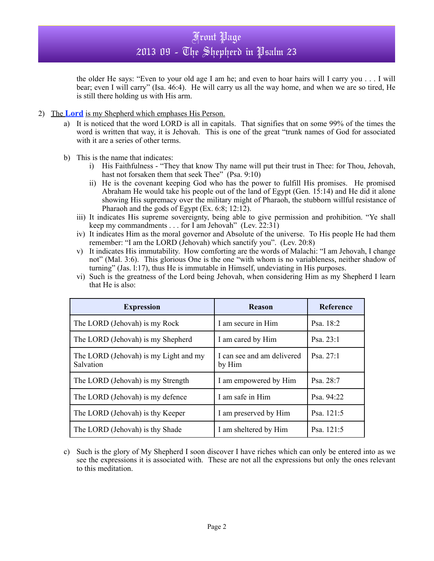the older He says: "Even to your old age I am he; and even to hoar hairs will I carry you . . . I will bear; even I will carry" (Isa. 46:4). He will carry us all the way home, and when we are so tired, He is still there holding us with His arm.

- 2) The **Lord** is my Shepherd which emphases His Person.
	- a) It is noticed that the word LORD is all in capitals. That signifies that on some 99% of the times the word is written that way, it is Jehovah. This is one of the great "trunk names of God for associated with it are a series of other terms.
	- b) This is the name that indicates:
		- i) His Faithfulness "They that know Thy name will put their trust in Thee: for Thou, Jehovah, hast not forsaken them that seek Thee" (Psa. 9:10)
		- ii) He is the covenant keeping God who has the power to fulfill His promises. He promised Abraham He would take his people out of the land of Egypt (Gen. 15:14) and He did it alone showing His supremacy over the military might of Pharaoh, the stubborn willful resistance of Pharaoh and the gods of Egypt (Ex. 6:8; 12:12).
		- iii) It indicates His supreme sovereignty, being able to give permission and prohibition. "Ye shall keep my commandments . . . for I am Jehovah" (Lev. 22:31)
		- iv) It indicates Him as the moral governor and Absolute of the universe. To His people He had them remember: "I am the LORD (Jehovah) which sanctify you". (Lev. 20:8)
		- v) It indicates His immutability. How comforting are the words of Malachi: "I am Jehovah, I change not" (Mal. 3:6). This glorious One is the one "with whom is no variableness, neither shadow of turning" (Jas. l:17), thus He is immutable in Himself, undeviating in His purposes.
		- vi) Such is the greatness of the Lord being Jehovah, when considering Him as my Shepherd I learn that He is also:

| <b>Expression</b>                                  | <b>Reason</b>                        | Reference   |
|----------------------------------------------------|--------------------------------------|-------------|
| The LORD (Jehovah) is my Rock                      | I am secure in Him                   | Psa. 18:2   |
| The LORD (Jehovah) is my Shepherd                  | I am cared by Him                    | Psa. $23:1$ |
| The LORD (Jehovah) is my Light and my<br>Salvation | I can see and am delivered<br>by Him | Psa. $27:1$ |
| The LORD (Jehovah) is my Strength                  | I am empowered by Him                | Psa. 28:7   |
| The LORD (Jehovah) is my defence                   | I am safe in Him                     | Psa. 94:22  |
| The LORD (Jehovah) is thy Keeper                   | I am preserved by Him                | Psa. 121:5  |
| The LORD (Jehovah) is thy Shade                    | I am sheltered by Him                | Psa. 121:5  |

c) Such is the glory of My Shepherd I soon discover I have riches which can only be entered into as we see the expressions it is associated with. These are not all the expressions but only the ones relevant to this meditation.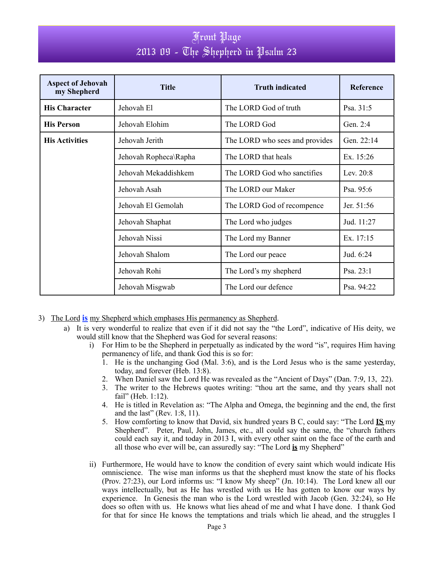# Front Page 2013 09 - The Shepherd in Psalm 23

| <b>Aspect of Jehovah</b><br>my Shepherd | <b>Title</b>          | <b>Truth indicated</b>         | <b>Reference</b> |
|-----------------------------------------|-----------------------|--------------------------------|------------------|
| <b>His Character</b>                    | Jehovah El            | The LORD God of truth          | Psa. 31:5        |
| <b>His Person</b>                       | Jehovah Elohim        | The LORD God                   | Gen. 2:4         |
| <b>His Activities</b>                   | Jehovah Jerith        | The LORD who sees and provides | Gen. 22:14       |
|                                         | Jehovah Ropheca\Rapha | The LORD that heals            | Ex. 15:26        |
|                                         | Jehovah Mekaddishkem  | The LORD God who sanctifies    | Lev. 20:8        |
|                                         | Jehovah Asah          | The LORD our Maker             | Psa. $95:6$      |
|                                         | Jehovah El Gemolah    | The LORD God of recompence     | Jer. 51:56       |
|                                         | Jehovah Shaphat       | The Lord who judges            | Jud. 11:27       |
|                                         | Jehovah Nissi         | The Lord my Banner             | Ex. 17:15        |
|                                         | Jehovah Shalom        | The Lord our peace             | Jud. 6:24        |
|                                         | Jehovah Rohi          | The Lord's my shepherd         | Psa. 23:1        |
|                                         | Jehovah Misgwab       | The Lord our defence           | Psa. 94:22       |

- 3) The Lord **is** my Shepherd which emphases His permanency as Shepherd.
	- a) It is very wonderful to realize that even if it did not say the "the Lord", indicative of His deity, we would still know that the Shepherd was God for several reasons:
		- i) For Him to be the Shepherd in perpetually as indicated by the word "is", requires Him having permanency of life, and thank God this is so for:
			- 1. He is the unchanging God (Mal. 3:6), and is the Lord Jesus who is the same yesterday, today, and forever (Heb. 13:8).
			- 2. When Daniel saw the Lord He was revealed as the "Ancient of Days" (Dan. 7:9, 13, 22).
			- 3. The writer to the Hebrews quotes writing: "thou art the same, and thy years shall not fail" (Heb. 1:12).
			- 4. He is titled in Revelation as: "The Alpha and Omega, the beginning and the end, the first and the last" (Rev. 1:8, 11).
			- 5. How comforting to know that David, six hundred years B C, could say: "The Lord **IS** my Shepherd". Peter, Paul, John, James, etc., all could say the same, the "church fathers could each say it, and today in 2013 I, with every other saint on the face of the earth and all those who ever will be, can assuredly say: "The Lord **is** my Shepherd"
		- ii) Furthermore, He would have to know the condition of every saint which would indicate His omniscience. The wise man informs us that the shepherd must know the state of his flocks (Prov. 27:23), our Lord informs us: "I know My sheep" (Jn. 10:14). The Lord knew all our ways intellectually, but as He has wrestled with us He has gotten to know our ways by experience. In Genesis the man who is the Lord wrestled with Jacob (Gen. 32:24), so He does so often with us. He knows what lies ahead of me and what I have done. I thank God for that for since He knows the temptations and trials which lie ahead, and the struggles I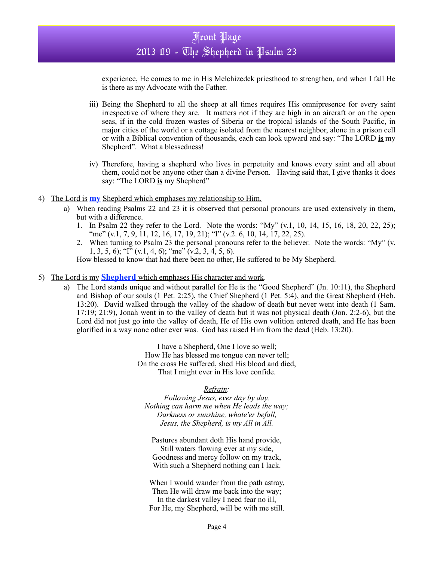experience, He comes to me in His Melchizedek priesthood to strengthen, and when I fall He is there as my Advocate with the Father.

- iii) Being the Shepherd to all the sheep at all times requires His omnipresence for every saint irrespective of where they are. It matters not if they are high in an aircraft or on the open seas, if in the cold frozen wastes of Siberia or the tropical islands of the South Pacific, in major cities of the world or a cottage isolated from the nearest neighbor, alone in a prison cell or with a Biblical convention of thousands, each can look upward and say: "The LORD **is** my Shepherd". What a blessedness!
- iv) Therefore, having a shepherd who lives in perpetuity and knows every saint and all about them, could not be anyone other than a divine Person. Having said that, I give thanks it does say: "The LORD **is** my Shepherd"
- 4) The Lord is **my** Shepherd which emphases my relationship to Him.
	- a) When reading Psalms 22 and 23 it is observed that personal pronouns are used extensively in them, but with a difference.
		- 1. In Psalm 22 they refer to the Lord. Note the words: "My" (v.1, 10, 14, 15, 16, 18, 20, 22, 25); "me" (v.1, 7, 9, 11, 12, 16, 17, 19, 21); "I" (v.2, 6, 10, 14, 17, 22, 25).
		- 2. When turning to Psalm 23 the personal pronouns refer to the believer. Note the words: "My" (v. 1, 3, 5, 6); "I" (v.1, 4, 6); "me" (v.2, 3, 4, 5, 6).

How blessed to know that had there been no other, He suffered to be My Shepherd.

- 5) The Lord is my **Shepherd** which emphases His character and work.
	- a) The Lord stands unique and without parallel for He is the "Good Shepherd" (Jn. 10:11), the Shepherd and Bishop of our souls (1 Pet. 2:25), the Chief Shepherd (1 Pet. 5:4), and the Great Shepherd (Heb. 13:20). David walked through the valley of the shadow of death but never went into death (1 Sam. 17:19; 21:9), Jonah went in to the valley of death but it was not physical death (Jon. 2:2-6), but the Lord did not just go into the valley of death. He of His own volition entered death, and He has been glorified in a way none other ever was. God has raised Him from the dead (Heb. 13:20).

I have a Shepherd, One I love so well; How He has blessed me tongue can never tell; On the cross He suffered, shed His blood and died, That I might ever in His love confide.

### *Refrain:*

*Following Jesus, ever day by day, Nothing can harm me when He leads the way; Darkness or sunshine, whate'er befall, Jesus, the Shepherd, is my All in All.*

Pastures abundant doth His hand provide, Still waters flowing ever at my side, Goodness and mercy follow on my track, With such a Shepherd nothing can I lack.

When I would wander from the path astray, Then He will draw me back into the way; In the darkest valley I need fear no ill, For He, my Shepherd, will be with me still.